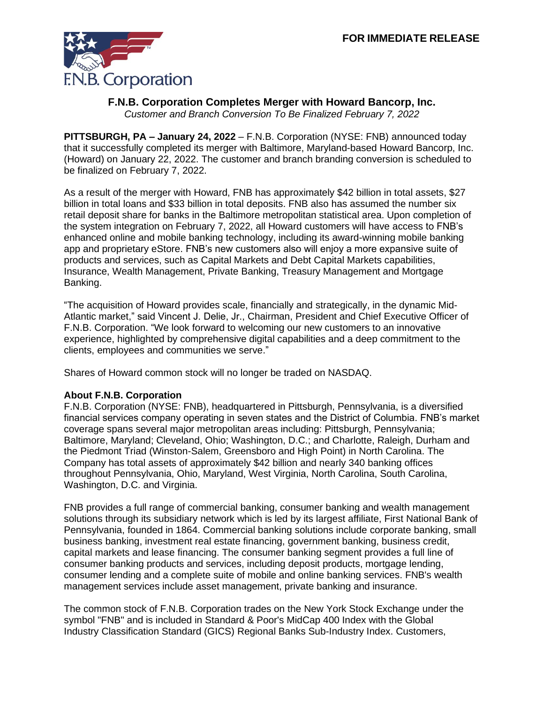

## **F.N.B. Corporation Completes Merger with Howard Bancorp, Inc.**

*Customer and Branch Conversion To Be Finalized February 7, 2022*

**PITTSBURGH, PA – January 24, 2022** – F.N.B. Corporation (NYSE: FNB) announced today that it successfully completed its merger with Baltimore, Maryland-based Howard Bancorp, Inc. (Howard) on January 22, 2022. The customer and branch branding conversion is scheduled to be finalized on February 7, 2022.

As a result of the merger with Howard, FNB has approximately \$42 billion in total assets, \$27 billion in total loans and \$33 billion in total deposits. FNB also has assumed the number six retail deposit share for banks in the Baltimore metropolitan statistical area. Upon completion of the system integration on February 7, 2022, all Howard customers will have access to FNB's enhanced online and mobile banking technology, including its award-winning mobile banking app and proprietary eStore. FNB's new customers also will enjoy a more expansive suite of products and services, such as Capital Markets and Debt Capital Markets capabilities, Insurance, Wealth Management, Private Banking, Treasury Management and Mortgage Banking.

"The acquisition of Howard provides scale, financially and strategically, in the dynamic Mid-Atlantic market," said Vincent J. Delie, Jr., Chairman, President and Chief Executive Officer of F.N.B. Corporation. "We look forward to welcoming our new customers to an innovative experience, highlighted by comprehensive digital capabilities and a deep commitment to the clients, employees and communities we serve."

Shares of Howard common stock will no longer be traded on NASDAQ.

## **About F.N.B. Corporation**

F.N.B. Corporation (NYSE: FNB), headquartered in Pittsburgh, Pennsylvania, is a diversified financial services company operating in seven states and the District of Columbia. FNB's market coverage spans several major metropolitan areas including: Pittsburgh, Pennsylvania; Baltimore, Maryland; Cleveland, Ohio; Washington, D.C.; and Charlotte, Raleigh, Durham and the Piedmont Triad (Winston-Salem, Greensboro and High Point) in North Carolina. The Company has total assets of approximately \$42 billion and nearly 340 banking offices throughout Pennsylvania, Ohio, Maryland, West Virginia, North Carolina, South Carolina, Washington, D.C. and Virginia.

FNB provides a full range of commercial banking, consumer banking and wealth management solutions through its subsidiary network which is led by its largest affiliate, First National Bank of Pennsylvania, founded in 1864. Commercial banking solutions include corporate banking, small business banking, investment real estate financing, government banking, business credit, capital markets and lease financing. The consumer banking segment provides a full line of consumer banking products and services, including deposit products, mortgage lending, consumer lending and a complete suite of mobile and online banking services. FNB's wealth management services include asset management, private banking and insurance.

The common stock of F.N.B. Corporation trades on the New York Stock Exchange under the symbol "FNB" and is included in Standard & Poor's MidCap 400 Index with the Global Industry Classification Standard (GICS) Regional Banks Sub-Industry Index. Customers,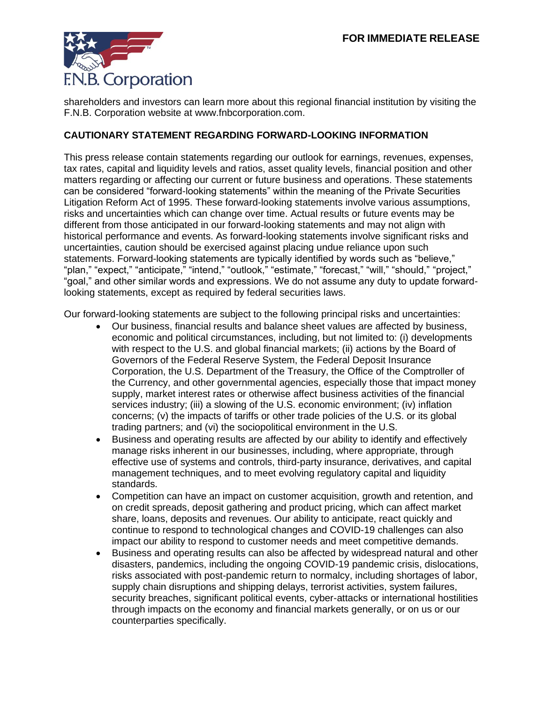

shareholders and investors can learn more about this regional financial institution by visiting the F.N.B. Corporation website at www.fnbcorporation.com.

## **CAUTIONARY STATEMENT REGARDING FORWARD-LOOKING INFORMATION**

This press release contain statements regarding our outlook for earnings, revenues, expenses, tax rates, capital and liquidity levels and ratios, asset quality levels, financial position and other matters regarding or affecting our current or future business and operations. These statements can be considered "forward-looking statements" within the meaning of the Private Securities Litigation Reform Act of 1995. These forward-looking statements involve various assumptions, risks and uncertainties which can change over time. Actual results or future events may be different from those anticipated in our forward-looking statements and may not align with historical performance and events. As forward-looking statements involve significant risks and uncertainties, caution should be exercised against placing undue reliance upon such statements. Forward-looking statements are typically identified by words such as "believe," "plan," "expect," "anticipate," "intend," "outlook," "estimate," "forecast," "will," "should," "project," "goal," and other similar words and expressions. We do not assume any duty to update forwardlooking statements, except as required by federal securities laws.

Our forward-looking statements are subject to the following principal risks and uncertainties:

- Our business, financial results and balance sheet values are affected by business, economic and political circumstances, including, but not limited to: (i) developments with respect to the U.S. and global financial markets; (ii) actions by the Board of Governors of the Federal Reserve System, the Federal Deposit Insurance Corporation, the U.S. Department of the Treasury, the Office of the Comptroller of the Currency, and other governmental agencies, especially those that impact money supply, market interest rates or otherwise affect business activities of the financial services industry; (iii) a slowing of the U.S. economic environment; (iv) inflation concerns; (v) the impacts of tariffs or other trade policies of the U.S. or its global trading partners; and (vi) the sociopolitical environment in the U.S.
- Business and operating results are affected by our ability to identify and effectively manage risks inherent in our businesses, including, where appropriate, through effective use of systems and controls, third-party insurance, derivatives, and capital management techniques, and to meet evolving regulatory capital and liquidity standards.
- Competition can have an impact on customer acquisition, growth and retention, and on credit spreads, deposit gathering and product pricing, which can affect market share, loans, deposits and revenues. Our ability to anticipate, react quickly and continue to respond to technological changes and COVID-19 challenges can also impact our ability to respond to customer needs and meet competitive demands.
- Business and operating results can also be affected by widespread natural and other disasters, pandemics, including the ongoing COVID-19 pandemic crisis, dislocations, risks associated with post-pandemic return to normalcy, including shortages of labor, supply chain disruptions and shipping delays, terrorist activities, system failures, security breaches, significant political events, cyber-attacks or international hostilities through impacts on the economy and financial markets generally, or on us or our counterparties specifically.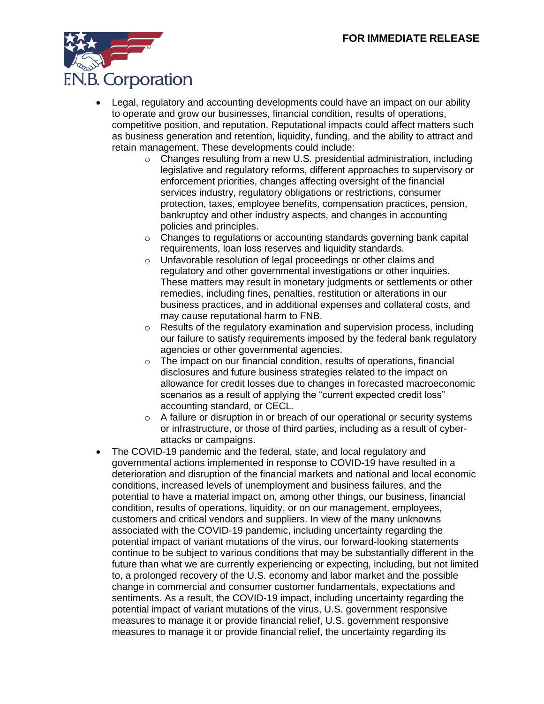

- Legal, regulatory and accounting developments could have an impact on our ability to operate and grow our businesses, financial condition, results of operations, competitive position, and reputation. Reputational impacts could affect matters such as business generation and retention, liquidity, funding, and the ability to attract and retain management. These developments could include:
	- o Changes resulting from a new U.S. presidential administration, including legislative and regulatory reforms, different approaches to supervisory or enforcement priorities, changes affecting oversight of the financial services industry, regulatory obligations or restrictions, consumer protection, taxes, employee benefits, compensation practices, pension, bankruptcy and other industry aspects, and changes in accounting policies and principles.
	- o Changes to regulations or accounting standards governing bank capital requirements, loan loss reserves and liquidity standards.
	- o Unfavorable resolution of legal proceedings or other claims and regulatory and other governmental investigations or other inquiries. These matters may result in monetary judgments or settlements or other remedies, including fines, penalties, restitution or alterations in our business practices, and in additional expenses and collateral costs, and may cause reputational harm to FNB.
	- o Results of the regulatory examination and supervision process, including our failure to satisfy requirements imposed by the federal bank regulatory agencies or other governmental agencies.
	- o The impact on our financial condition, results of operations, financial disclosures and future business strategies related to the impact on allowance for credit losses due to changes in forecasted macroeconomic scenarios as a result of applying the "current expected credit loss" accounting standard, or CECL.
	- $\circ$  A failure or disruption in or breach of our operational or security systems or infrastructure, or those of third parties, including as a result of cyberattacks or campaigns.
- The COVID-19 pandemic and the federal, state, and local regulatory and governmental actions implemented in response to COVID-19 have resulted in a deterioration and disruption of the financial markets and national and local economic conditions, increased levels of unemployment and business failures, and the potential to have a material impact on, among other things, our business, financial condition, results of operations, liquidity, or on our management, employees, customers and critical vendors and suppliers. In view of the many unknowns associated with the COVID-19 pandemic, including uncertainty regarding the potential impact of variant mutations of the virus, our forward-looking statements continue to be subject to various conditions that may be substantially different in the future than what we are currently experiencing or expecting, including, but not limited to, a prolonged recovery of the U.S. economy and labor market and the possible change in commercial and consumer customer fundamentals, expectations and sentiments. As a result, the COVID-19 impact, including uncertainty regarding the potential impact of variant mutations of the virus, U.S. government responsive measures to manage it or provide financial relief, U.S. government responsive measures to manage it or provide financial relief, the uncertainty regarding its